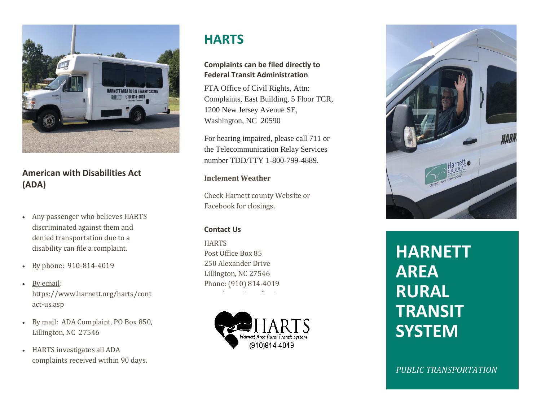

### **American with Disabilities Act (ADA)**

- Any passenger who believes HARTS discriminated against them and denied transportation due to a disability can file a complaint.
- By phone: 910-814-4019
- By email: https://www.harnett.org/harts/cont act-us.asp
- By mail: ADA Complaint, PO Box 850, Lillington, NC 27546
- HARTS investigates all ADA complaints received within 90 days.

## **HARTS**

### **Complaints can be filed directly to Federal Transit Administration**

FTA Office of Civil Rights, Attn: Complaints, East Building, 5 Floor TCR, 1200 New Jersey Avenue SE, Washington, NC 20590

For hearing impaired, please call 711 or the Telecommunication Relay Services number TDD/TTY 1-800-799-4889.

### **Inclement Weather**

Check Harnett county Website or Facebook for closings.

### **Contact Us**

**HARTS** Post Office Box 85 250 Alexander Drive Lillington, NC 27546 Phone: (910) 814-4019 where  $\mathbf{r}_i = \mathbf{r}_i + \mathbf{r}_j$  and  $\mathbf{r}_i = \mathbf{r}_i + \mathbf{r}_j$ 





# **HARNETT AREA RURAL TRANSIT SYSTEM**

*PUBLIC TRANSPORTATION*